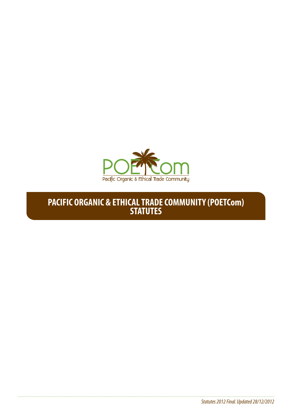

# **PACIFIC ORGANIC & ETHICAL TRADE COMMUNITY (POETCom) STATUTES**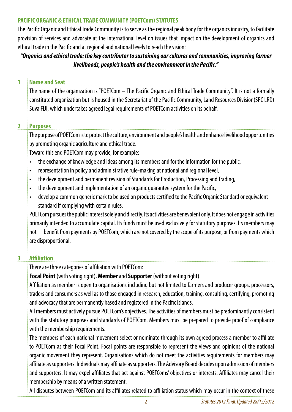### **PACIFIC ORGANIC & ETHICAL TRADE COMMUNITY (POETCom) STATUTES**

The Pacific Organic and Ethical Trade Community is to serve as the regional peak body for the organics industry, to facilitate provision of services and advocate at the international level on issues that impact on the development of organics and ethical trade in the Pacific and at regional and national levels to reach the vision:

# *"Organics and ethical trade: the key contributor to sustaining our cultures and communities, improving farmer livelihoods, people's health and the environment in the Pacific."*

#### **1 Name and Seat**

The name of the organization is "POETCom – The Pacific Organic and Ethical Trade Community". It is not a formally constituted organization but is housed in the Secretariat of the Pacific Community, Land Resources Division(SPC LRD) Suva FIJI, which undertakes agreed legal requirements of POETCom activities on its behalf.

### **2 Purposes**

The purpose of POETCom is to protect the culture, environment and people's health and enhance livelihood opportunities by promoting organic agriculture and ethical trade.

Toward this end POETCom may provide, for example:

- the exchange of knowledge and ideas among its members and for the information for the public,
- representation in policy and administrative rule-making at national and regional level.
- the development and permanent revision of Standards for Production, Processing and Trading,
- the development and implementation of an organic quarantee system for the Pacific,
- • develop a common generic mark to be used on products certified to the Pacific Organic Standard or equivalent standard if complying with certain rules.

POETCom pursues the public interest solely and directly. Its activities are benevolent only. It does not engage in activities primarily intended to accumulate capital. Its funds must be used exclusively for statutory purposes. Its members may not benefit from payments by POETCom, which are not covered by the scope of its purpose, or from payments which are disproportional.

### **3 Affiliation**

There are three categories of affiliation with POETCom:

**Focal Point** (with voting right), **Member** and **Supporter** (without voting right).

Affiliation as member is open to organisations including but not limited to farmers and producer groups, processors, traders and consumers as well as to those engaged in research, education, training, consulting, certifying, promoting and advocacy that are permanently based and registered in the Pacific Islands.

All members must actively pursue POETCom's objectives. The activities of members must be predominantly consistent with the statutory purposes and standards of POETCom. Members must be prepared to provide proof of compliance with the membership requirements.

The members of each national movement select or nominate through its own agreed process a member to affiliate to POETCom as their Focal Point. Focal points are responsible to represent the views and opinions of the national organic movement they represent. Organisations which do not meet the activities requirements for members may affiliate as supporters. Individuals may affiliate as supporters. The Advisory Board decides upon admission of members and supporters. It may expel affiliates that act against POETComs' objectives or interests. Affiliates may cancel their membership by means of a written statement.

All disputes between POETCom and its affiliates related to affiliation status which may occur in the context of these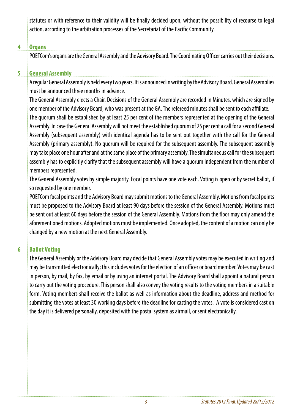statutes or with reference to their validity will be finally decided upon, without the possibility of recourse to legal action, according to the arbitration processes of the Secretariat of the Pacific Community.

## **4 Organs**

POETCom's organs are the General Assembly and the Advisory Board. The Coordinating Officer carries out their decisions.

# **5 General Assembly**

A regular General Assembly is held every two years. It is announced in writing by the Advisory Board. General Assemblies must be announced three months in advance.

The General Assembly elects a Chair. Decisions of the General Assembly are recorded in Minutes, which are signed by one member of the Advisory Board, who was present at the GA. The refereed minutes shall be sent to each affiliate.

The quorum shall be established by at least 25 per cent of the members represented at the opening of the General Assembly. In case the General Assembly will not meet the established quorum of 25 per cent a call for a second General Assembly (subsequent assembly) with identical agenda has to be sent out together with the call for the General Assembly (primary assembly). No quorum will be required for the subsequent assembly. The subsequent assembly may take place one hour after and at the same place of the primary assembly. The simultaneous call for the subsequent assembly has to explicitly clarify that the subsequent assembly will have a quorum independent from the number of members represented.

The General Assembly votes by simple majority. Focal points have one vote each. Voting is open or by secret ballot, if so requested by one member.

POETCom focal points and the Advisory Board may submit motions to the General Assembly. Motions from focal points must be proposed to the Advisory Board at least 90 days before the session of the General Assembly. Motions must be sent out at least 60 days before the session of the General Assembly. Motions from the floor may only amend the aforementioned motions. Adopted motions must be implemented. Once adopted, the content of a motion can only be changed by a new motion at the next General Assembly.

# **6 Ballot Voting**

The General Assembly or the Advisory Board may decide that General Assembly votes may be executed in writing and may be transmitted electronically; this includes votes for the election of an officer or board member. Votes may be cast in person, by mail, by fax, by email or by using an internet portal. The Advisory Board shall appoint a natural person to carry out the voting procedure. This person shall also convey the voting results to the voting members in a suitable form. Voting members shall receive the ballot as well as information about the deadline, address and method for submitting the votes at least 30 working days before the deadline for casting the votes. A vote is considered cast on the day it is delivered personally, deposited with the postal system as airmail, or sent electronically.